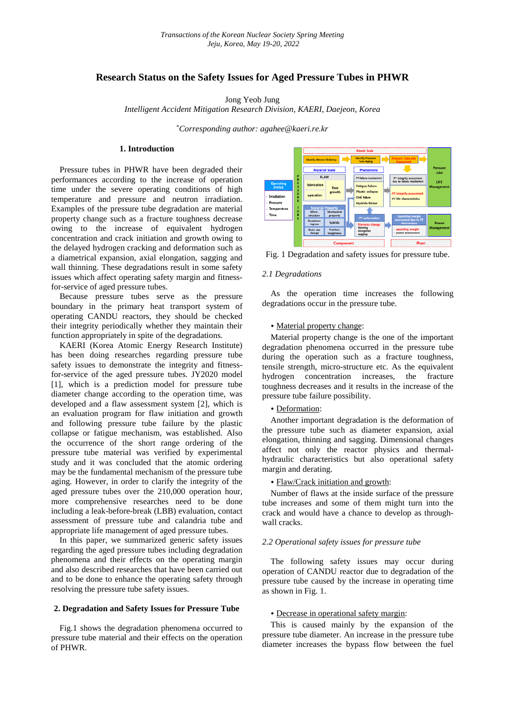# **Research Status on the Safety Issues for Aged Pressure Tubes in PHWR**

Jong Yeob Jung

*Intelligent Accident Mitigation Research Division, KAERI, Daejeon, Korea*

\* *Corresponding author: agahee@kaeri.re.kr*

## **1. Introduction**

Pressure tubes in PHWR have been degraded their performances according to the increase of operation time under the severe operating conditions of high temperature and pressure and neutron irradiation. Examples of the pressure tube degradation are material property change such as a fracture toughness decrease owing to the increase of equivalent hydrogen concentration and crack initiation and growth owing to the delayed hydrogen cracking and deformation such as a diametrical expansion, axial elongation, sagging and wall thinning. These degradations result in some safety issues which affect operating safety margin and fitnessfor-service of aged pressure tubes.

Because pressure tubes serve as the pressure boundary in the primary heat transport system of operating CANDU reactors, they should be checked their integrity periodically whether they maintain their function appropriately in spite of the degradations.

KAERI (Korea Atomic Energy Research Institute) has been doing researches regarding pressure tube safety issues to demonstrate the integrity and fitnessfor-service of the aged pressure tubes. JY2020 model [1], which is a prediction model for pressure tube diameter change according to the operation time, was developed and a flaw assessment system [2], which is an evaluation program for flaw initiation and growth and following pressure tube failure by the plastic collapse or fatigue mechanism, was established. Also the occurrence of the short range ordering of the pressure tube material was verified by experimental study and it was concluded that the atomic ordering may be the fundamental mechanism of the pressure tube aging. However, in order to clarify the integrity of the aged pressure tubes over the 210,000 operation hour, more comprehensive researches need to be done including a leak-before-break (LBB) evaluation, contact assessment of pressure tube and calandria tube and appropriate life management of aged pressure tubes.

In this paper, we summarized generic safety issues regarding the aged pressure tubes including degradation phenomena and their effects on the operating margin and also described researches that have been carried out and to be done to enhance the operating safety through resolving the pressure tube safety issues.

## **2. Degradation and Safety Issues for Pressure Tube**

Fig.1 shows the degradation phenomena occurred to pressure tube material and their effects on the operation of PHWR.



Fig. 1 Degradation and safety issues for pressure tube.

## *2.1 Degradations*

As the operation time increases the following degradations occur in the pressure tube.

### • Material property change:

Material property change is the one of the important degradation phenomena occurred in the pressure tube during the operation such as a fracture toughness, tensile strength, micro-structure etc. As the equivalent hydrogen concentration increases, the fracture toughness decreases and it results in the increase of the pressure tube failure possibility.

### • Deformation:

Another important degradation is the deformation of the pressure tube such as diameter expansion, axial elongation, thinning and sagging. Dimensional changes affect not only the reactor physics and thermalhydraulic characteristics but also operational safety margin and derating.

#### • Flaw/Crack initiation and growth:

Number of flaws at the inside surface of the pressure tube increases and some of them might turn into the crack and would have a chance to develop as throughwall cracks.

#### *2.2 Operational safety issues for pressure tube*

The following safety issues may occur during operation of CANDU reactor due to degradation of the pressure tube caused by the increase in operating time as shown in Fig. 1.

### • Decrease in operational safety margin:

This is caused mainly by the expansion of the pressure tube diameter. An increase in the pressure tube diameter increases the bypass flow between the fuel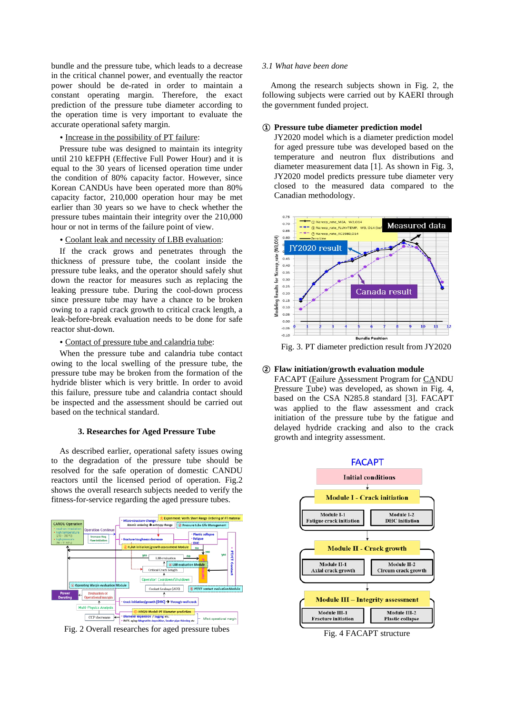bundle and the pressure tube, which leads to a decrease in the critical channel power, and eventually the reactor power should be de-rated in order to maintain a constant operating margin. Therefore, the exact prediction of the pressure tube diameter according to the operation time is very important to evaluate the accurate operational safety margin.

• Increase in the possibility of PT failure:

Pressure tube was designed to maintain its integrity until 210 kEFPH (Effective Full Power Hour) and it is equal to the 30 years of licensed operation time under the condition of 80% capacity factor. However, since Korean CANDUs have been operated more than 80% capacity factor, 210,000 operation hour may be met earlier than 30 years so we have to check whether the pressure tubes maintain their integrity over the 210,000 hour or not in terms of the failure point of view.

• Coolant leak and necessity of LBB evaluation:

If the crack grows and penetrates through the thickness of pressure tube, the coolant inside the pressure tube leaks, and the operator should safely shut down the reactor for measures such as replacing the leaking pressure tube. During the cool-down process since pressure tube may have a chance to be broken owing to a rapid crack growth to critical crack length, a leak-before-break evaluation needs to be done for safe reactor shut-down.

• Contact of pressure tube and calandria tube:

When the pressure tube and calandria tube contact owing to the local swelling of the pressure tube, the pressure tube may be broken from the formation of the hydride blister which is very brittle. In order to avoid this failure, pressure tube and calandria contact should be inspected and the assessment should be carried out based on the technical standard.

## **3. Researches for Aged Pressure Tube**

As described earlier, operational safety issues owing to the degradation of the pressure tube should be resolved for the safe operation of domestic CANDU reactors until the licensed period of operation. Fig.2 shows the overall research subjects needed to verify the fitness-for-service regarding the aged pressure tubes.



Fig. 2 Overall researches for aged pressure tubes

### *3.1 What have been done*

Among the research subjects shown in Fig. 2, the following subjects were carried out by KAERI through the government funded project.

## **① Pressure tube diameter prediction model**

JY2020 model which is a diameter prediction model for aged pressure tube was developed based on the temperature and neutron flux distributions and diameter measurement data [1]. As shown in Fig. 3, JY2020 model predicts pressure tube diameter very closed to the measured data compared to the Canadian methodology.



Fig. 3. PT diameter prediction result from JY2020

## **② Flaw initiation/growth evaluation module**

FACAPT (Failure Assessment Program for CANDU Pressure Tube) was developed, as shown in Fig. 4, based on the CSA N285.8 standard [3]. FACAPT was applied to the flaw assessment and crack initiation of the pressure tube by the fatigue and delayed hydride cracking and also to the crack growth and integrity assessment.

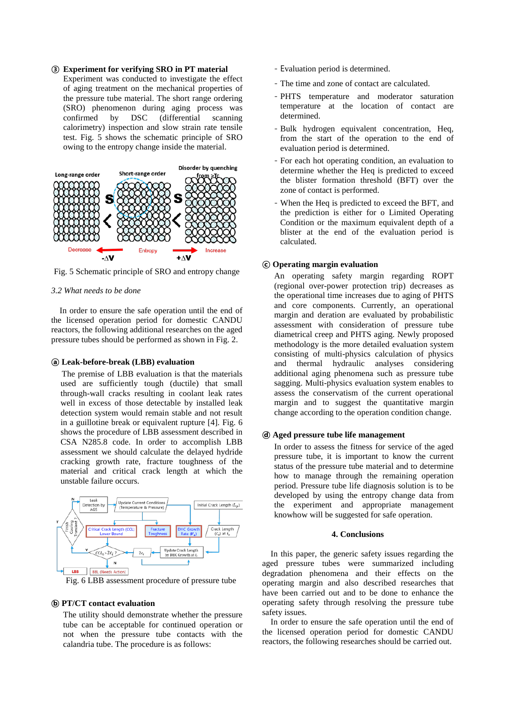## **③ Experiment for verifying SRO in PT material**

Experiment was conducted to investigate the effect of aging treatment on the mechanical properties of the pressure tube material. The short range ordering (SRO) phenomenon during aging process was<br>confirmed by DSC (differential scanning by DSC (differential scanning calorimetry) inspection and slow strain rate tensile test. Fig. 5 shows the schematic principle of SRO owing to the entropy change inside the material.



Fig. 5 Schematic principle of SRO and entropy change

#### *3.2 What needs to be done*

In order to ensure the safe operation until the end of the licensed operation period for domestic CANDU reactors, the following additional researches on the aged pressure tubes should be performed as shown in Fig. 2.

### **ⓐ Leak-before-break (LBB) evaluation**

The premise of LBB evaluation is that the materials used are sufficiently tough (ductile) that small through-wall cracks resulting in coolant leak rates well in excess of those detectable by installed leak detection system would remain stable and not result in a guillotine break or equivalent rupture [4]. Fig. 6 shows the procedure of LBB assessment described in CSA N285.8 code. In order to accomplish LBB assessment we should calculate the delayed hydride cracking growth rate, fracture toughness of the material and critical crack length at which the unstable failure occurs.



Fig. 6 LBB assessment procedure of pressure tube

### **ⓑ PT/CT contact evaluation**

The utility should demonstrate whether the pressure tube can be acceptable for continued operation or not when the pressure tube contacts with the calandria tube. The procedure is as follows:

- Evaluation period is determined.
- The time and zone of contact are calculated.
- PHTS temperature and moderator saturation temperature at the location of contact are determined.
- Bulk hydrogen equivalent concentration, Heq, from the start of the operation to the end of evaluation period is determined.
- For each hot operating condition, an evaluation to determine whether the Heq is predicted to exceed the blister formation threshold (BFT) over the zone of contact is performed.
- When the Heq is predicted to exceed the BFT, and the prediction is either for o Limited Operating Condition or the maximum equivalent depth of a blister at the end of the evaluation period is calculated.

## **ⓒ Operating margin evaluation**

An operating safety margin regarding ROPT (regional over-power protection trip) decreases as the operational time increases due to aging of PHTS and core components. Currently, an operational margin and deration are evaluated by probabilistic assessment with consideration of pressure tube diametrical creep and PHTS aging. Newly proposed methodology is the more detailed evaluation system consisting of multi-physics calculation of physics and thermal hydraulic analyses considering additional aging phenomena such as pressure tube sagging. Multi-physics evaluation system enables to assess the conservatism of the current operational margin and to suggest the quantitative margin change according to the operation condition change.

#### **ⓓ Aged pressure tube life management**

In order to assess the fitness for service of the aged pressure tube, it is important to know the current status of the pressure tube material and to determine how to manage through the remaining operation period. Pressure tube life diagnosis solution is to be developed by using the entropy change data from the experiment and appropriate management knowhow will be suggested for safe operation.

## **4. Conclusions**

In this paper, the generic safety issues regarding the aged pressure tubes were summarized including degradation phenomena and their effects on the operating margin and also described researches that have been carried out and to be done to enhance the operating safety through resolving the pressure tube safety issues.

In order to ensure the safe operation until the end of the licensed operation period for domestic CANDU reactors, the following researches should be carried out.